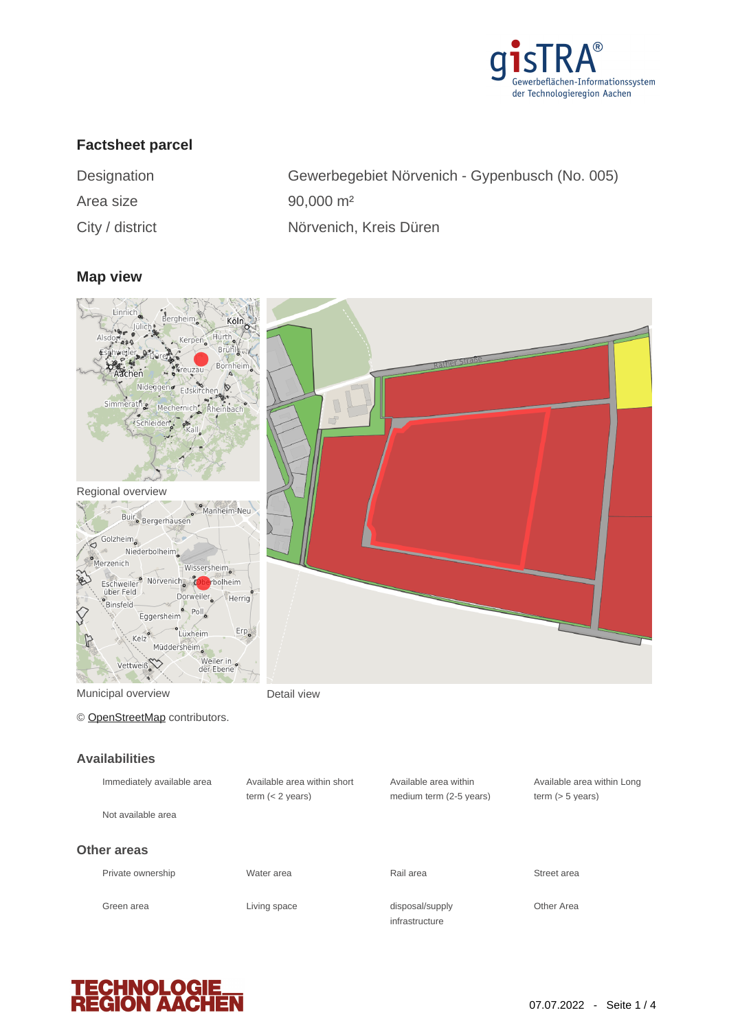

### **Factsheet parcel**

| Designation     | Gewerbeg             |
|-----------------|----------------------|
| Area size       | $90,000 \text{ m}^2$ |
| City / district | Nörvenich            |

begebiet Nörvenich - Gypenbusch (No. 005) nich, Kreis Düren

#### **Map view**



| Immediately available area | Available area within short<br>term $(< 2$ years) | Available area within<br>medium term (2-5 years) | Available area within Lond<br>term $(> 5$ years) |
|----------------------------|---------------------------------------------------|--------------------------------------------------|--------------------------------------------------|
| Not available area         |                                                   |                                                  |                                                  |
| Other areas                |                                                   |                                                  |                                                  |
| Private ownership          | Water area                                        | Rail area                                        | Street area                                      |
| Green area                 | Living space                                      | disposal/supply<br>infrastructure                | Other Area                                       |

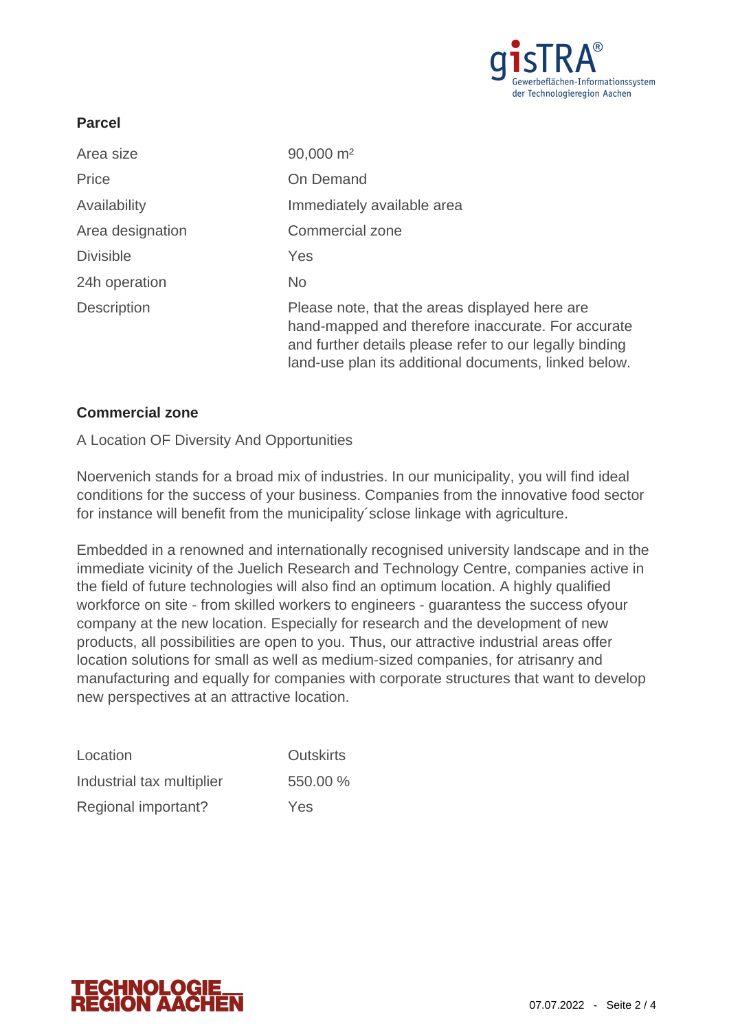

### **Parcel**

| Area size          | 90,000 m <sup>2</sup>                                                                                                                                                                                                    |
|--------------------|--------------------------------------------------------------------------------------------------------------------------------------------------------------------------------------------------------------------------|
| Price              | On Demand                                                                                                                                                                                                                |
| Availability       | Immediately available area                                                                                                                                                                                               |
| Area designation   | Commercial zone                                                                                                                                                                                                          |
| <b>Divisible</b>   | Yes                                                                                                                                                                                                                      |
| 24h operation      | No.                                                                                                                                                                                                                      |
| <b>Description</b> | Please note, that the areas displayed here are<br>hand-mapped and therefore inaccurate. For accurate<br>and further details please refer to our legally binding<br>land-use plan its additional documents, linked below. |

### **Commercial zone**

#### A Location OF Diversity And Opportunities

Noervenich stands for a broad mix of industries. In our municipality, you will find ideal conditions for the success of your business. Companies from the innovative food sector for instance will benefit from the municipality´sclose linkage with agriculture.

Embedded in a renowned and internationally recognised university landscape and in the immediate vicinity of the Juelich Research and Technology Centre, companies active in the field of future technologies will also find an optimum location. A highly qualified workforce on site - from skilled workers to engineers - guarantess the success ofyour company at the new location. Especially for research and the development of new products, all possibilities are open to you. Thus, our attractive industrial areas offer location solutions for small as well as medium-sized companies, for atrisanry and manufacturing and equally for companies with corporate structures that want to develop new perspectives at an attractive location.

| Location                  | <b>Outskirts</b> |
|---------------------------|------------------|
| Industrial tax multiplier | 550.00 %         |
| Regional important?       | Yes              |

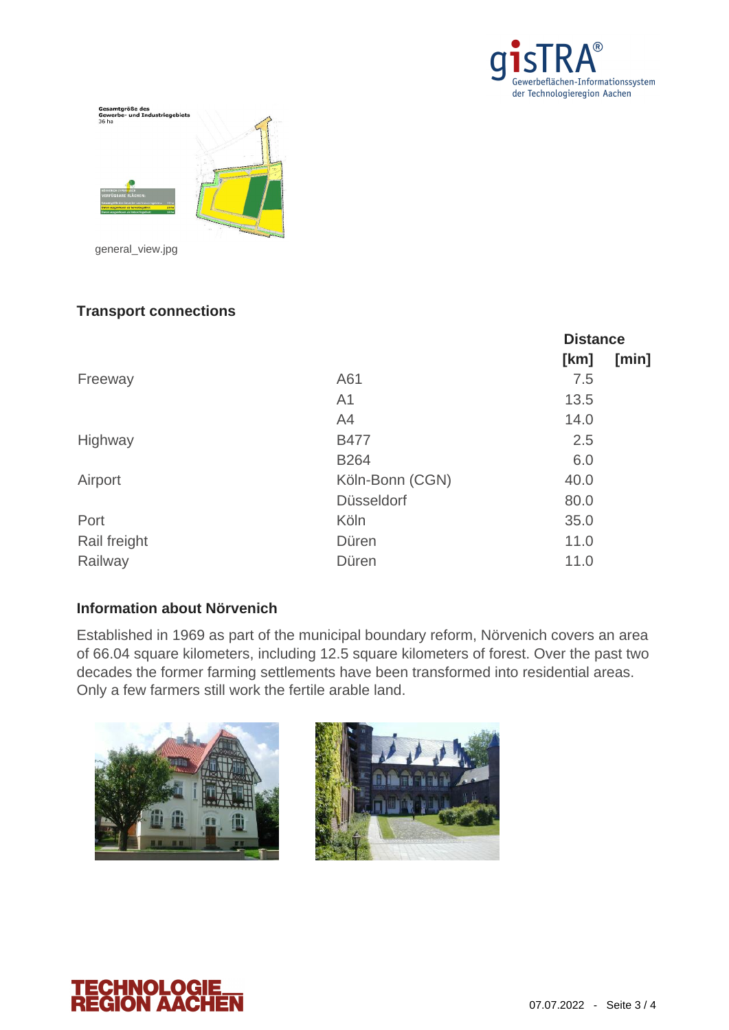



# **Transport connections**

|              |                   | <b>Distance</b> |       |
|--------------|-------------------|-----------------|-------|
|              |                   | [km]            | [min] |
| Freeway      | A61               | 7.5             |       |
|              | A <sub>1</sub>    | 13.5            |       |
|              | A4                | 14.0            |       |
| Highway      | <b>B477</b>       | 2.5             |       |
|              | <b>B264</b>       | 6.0             |       |
| Airport      | Köln-Bonn (CGN)   | 40.0            |       |
|              | <b>Düsseldorf</b> | 80.0            |       |
| Port         | Köln              | 35.0            |       |
| Rail freight | Düren             | 11.0            |       |
| Railway      | Düren             | 11.0            |       |

### **Information about Nörvenich**

Established in 1969 as part of the municipal boundary reform, Nörvenich covers an area of 66.04 square kilometers, including 12.5 square kilometers of forest. Over the past two decades the former farming settlements have been transformed into residential areas. Only a few farmers still work the fertile arable land.